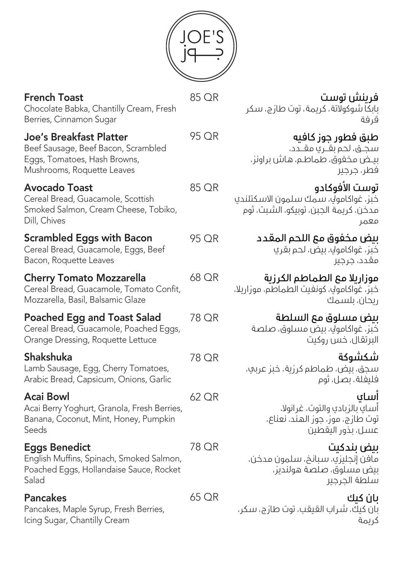

French Toast

85 QR

95 QR

85 QR

95 QR

68 QR

78 QR

78 QR

62 QR

Chocolate Babka, Chantilly Cream, Fresh Berries, Cinnamon Sugar

#### Joe's Breakfast Platter

Beef Sausage, Beef Bacon, Scrambled Eggs, Tomatoes, Hash Browns, Mushrooms, Roquette Leaves

# Avocado Toast

Cereal Bread, Guacamole, Scottish Smoked Salmon, Cream Cheese, Tobiko, Dill, Chives

## Scrambled Eggs with Bacon

Cereal Bread, Guacamole, Eggs, Beef Bacon, Roquette Leaves

### Cherry Tomato Mozzarella

Cereal Bread, Guacamole, Tomato Confit, Mozzarella, Basil, Balsamic Glaze

## Poached Egg and Toast Salad

Cereal Bread, Guacamole, Poached Eggs, Orange Dressing, Roquette Lettuce

#### Shakshuka

Lamb Sausage, Egg, Cherry Tomatoes, Arabic Bread, Capsicum, Onions, Garlic

#### Acai Bowl

Acai Berry Yoghurt, Granola, Fresh Berries, Banana, Coconut, Mint, Honey, Pumpkin Seeds

#### Eggs Benedict

English Muffins, Spinach, Smoked Salmon, Poached Eggs, Hollandaise Sauce, Rocket Salad

#### Pancakes

Pancakes, Maple Syrup, Fresh Berries, Icing Sugar, Chantilly Cream

**فرينش توست** بابكا شوكولاتة، كريمة، توت طازج، سكر قرفة

## **طبق فطور جوز كافيه**

سجــق، لحم بقــري مقــدد، بيــض فوق، طماطـم، هاش براونز، فطر، جرج

**توست ا فوكادو** 

خبز، غواكامو، سمك سلمون الاسكتلندي مدخن، كريمة الجبن، توبيكو، الشبت، ثوم معمر

> **بيض فوق مع اللحم المقدد** خبز، غواكاموكٍ، بيض، لحم بقري مقدد، جرحير

**موزاريلا مع الطماطم الكرزية** خبز، غواكامو، كونفيت الطماطم، موزاريلا، ريحان، بلسمك

> **بيض مسلوق مع السلطة** خبز، غواكاموك، بيض مسلوق، صلصة ال¦تقال، خس روكيت

# **شكشوكة**

سجق، بيض، طماطم كرزية، خبز عربي، فليفلة، بصل، ثوم

أساي بالزبادي والتوت، غرانولا، **أساي**  توت طازج، موز، جوز الهند، نعناع، عسل، بذور اليقطين

# **بيض بندكيت**

مافن إنجليزي، سبانخ، سلمون مدخن، بيض مسلوق، صلصة هولنديز، سلطة الجرج

**بان كيك** بان كيك، شراب القيقب، توت طازج، سكر، كريمة

78 QR

65 QR